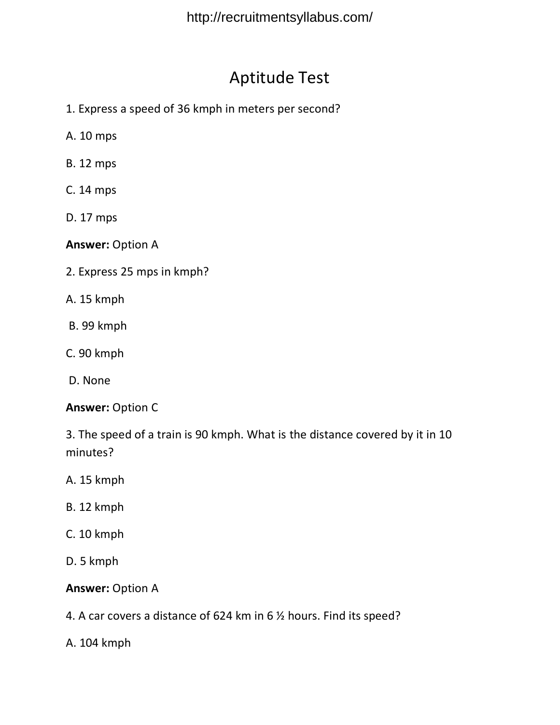# Aptitude Test

- 1. Express a speed of 36 kmph in meters per second?
- A. 10 mps
- B. 12 mps
- C. 14 mps
- D. 17 mps

**Answer:** Option A

- 2. Express 25 mps in kmph?
- A. 15 kmph
- B. 99 kmph
- C. 90 kmph
- D. None

#### **Answer:** Option C

3. The speed of a train is 90 kmph. What is the distance covered by it in 10 minutes?

- A. 15 kmph
- B. 12 kmph
- C. 10 kmph
- D. 5 kmph

### **Answer:** Option A

4. A car covers a distance of 624 km in 6 ½ hours. Find its speed?

A. 104 kmph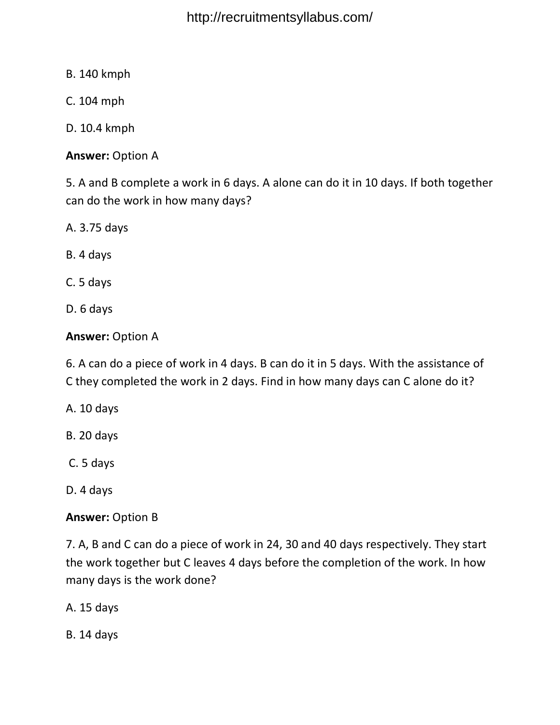B. 140 kmph

C. 104 mph

D. 10.4 kmph

**Answer:** Option A

5. A and B complete a work in 6 days. A alone can do it in 10 days. If both together can do the work in how many days?

A. 3.75 days

B. 4 days

C. 5 days

D. 6 days

**Answer:** Option A

6. A can do a piece of work in 4 days. B can do it in 5 days. With the assistance of C they completed the work in 2 days. Find in how many days can C alone do it?

A. 10 days

B. 20 days

C. 5 days

D. 4 days

**Answer:** Option B

7. A, B and C can do a piece of work in 24, 30 and 40 days respectively. They start the work together but C leaves 4 days before the completion of the work. In how many days is the work done?

A. 15 days

B. 14 days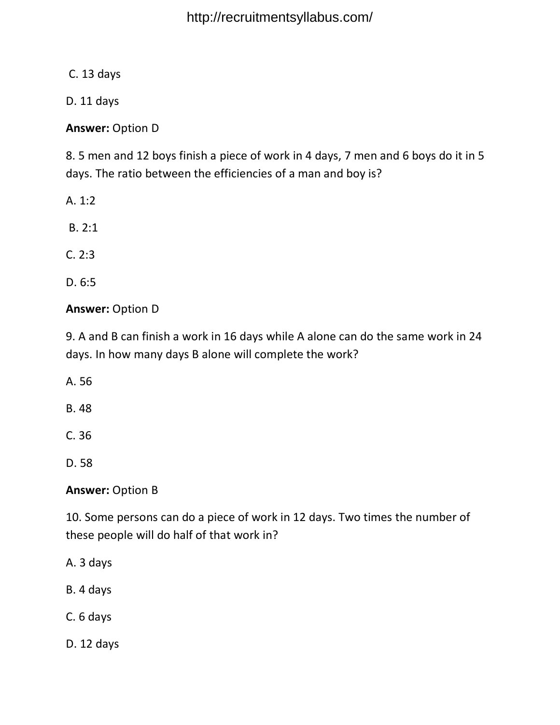C. 13 days

D. 11 days

**Answer:** Option D

8. 5 men and 12 boys finish a piece of work in 4 days, 7 men and 6 boys do it in 5 days. The ratio between the efficiencies of a man and boy is?

- A. 1:2
- B. 2:1
- C. 2:3
- D. 6:5

## **Answer:** Option D

9. A and B can finish a work in 16 days while A alone can do the same work in 24 days. In how many days B alone will complete the work?

A. 56

B. 48

C. 36

D. 58

## **Answer:** Option B

10. Some persons can do a piece of work in 12 days. Two times the number of these people will do half of that work in?

- A. 3 days
- B. 4 days
- C. 6 days
- D. 12 days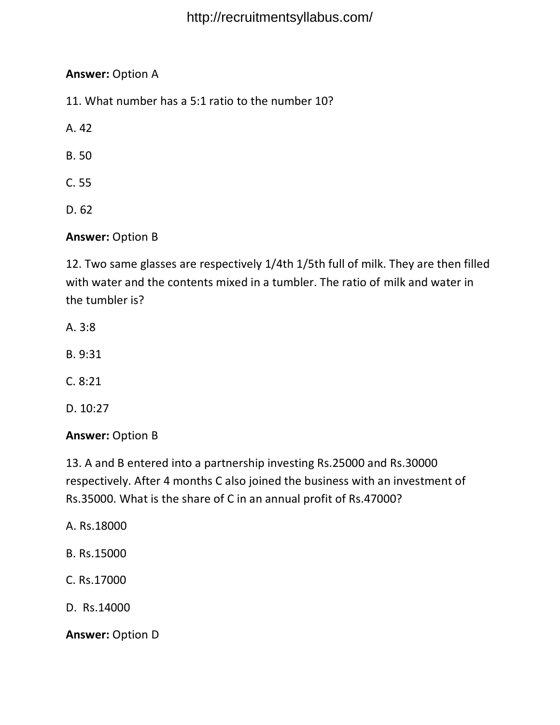## **Answer:** Option A

11. What number has a 5:1 ratio to the number 10?

A. 42

B. 50

- C. 55
- D. 62

## **Answer:** Option B

12. Two same glasses are respectively 1/4th 1/5th full of milk. They are then filled with water and the contents mixed in a tumbler. The ratio of milk and water in the tumbler is?

- A. 3:8
- B. 9:31
- C. 8:21
- D. 10:27

### **Answer:** Option B

13. A and B entered into a partnership investing Rs.25000 and Rs.30000 respectively. After 4 months C also joined the business with an investment of Rs.35000. What is the share of C in an annual profit of Rs.47000?

A. Rs.18000

- B. Rs.15000
- C. Rs.17000
- D. Rs.14000

**Answer:** Option D